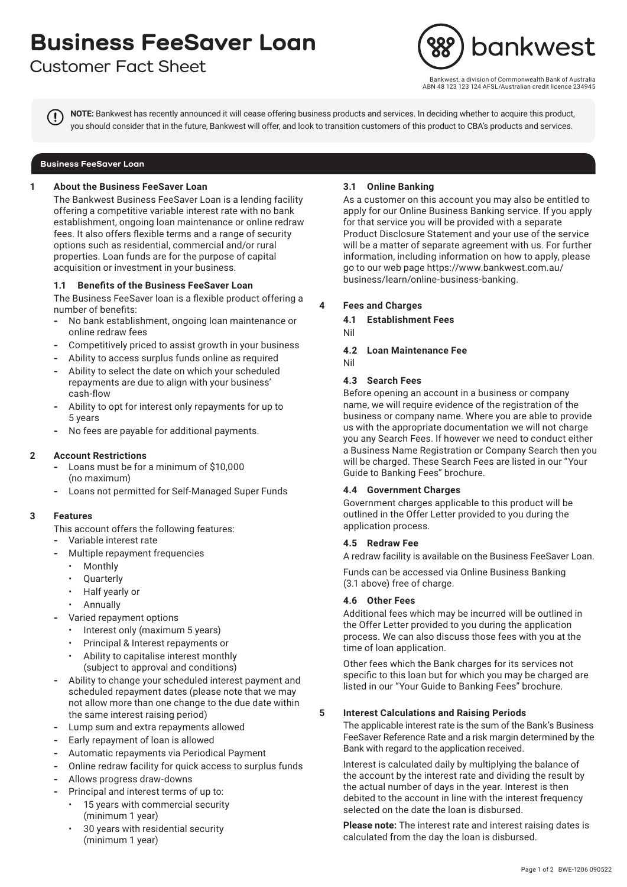# **Business FeeSaver Loan**

# **Customer Fact Sheet**



west, a division of Commonwealth Bank of Australia ABN 48 123 123 124 AFSL/Australian credit licence 234945

**NOTE:** Bankwest has recently announced it will cease offering business products and services. In deciding whether to acquire this product, you should consider that in the future, Bankwest will offer, and look to transition customers of this product to CBA's products and services.

## **Business FeeSaver Loan**

## **1 About the Business FeeSaver Loan**

The Bankwest Business FeeSaver Loan is a lending facility offering a competitive variable interest rate with no bank establishment, ongoing loan maintenance or online redraw fees. It also offers flexible terms and a range of security options such as residential, commercial and/or rural properties. Loan funds are for the purpose of capital acquisition or investment in your business.

## **1.1 Benefits of the Business FeeSaver Loan**

The Business FeeSaver loan is a flexible product offering a number of benefits:

- **-** No bank establishment, ongoing loan maintenance or online redraw fees
- **-** Competitively priced to assist growth in your business
- **-** Ability to access surplus funds online as required
- **-** Ability to select the date on which your scheduled repayments are due to align with your business' cash-flow
- **-** Ability to opt for interest only repayments for up to 5 years
- **-** No fees are payable for additional payments.

# **2 Account Restrictions**

- **-** Loans must be for a minimum of \$10,000 (no maximum)
- **-** Loans not permitted for Self-Managed Super Funds

## **3 Features**

- This account offers the following features:
- **-** Variable interest rate
- **-** Multiple repayment frequencies
	- Monthly
	- Quarterly
	- Half yearly or
	- Annually
- **-** Varied repayment options
	- Interest only (maximum 5 years)
	- Principal & Interest repayments or
	- Ability to capitalise interest monthly (subject to approval and conditions)
- **-** Ability to change your scheduled interest payment and scheduled repayment dates (please note that we may not allow more than one change to the due date within the same interest raising period)
- **-** Lump sum and extra repayments allowed
- **-** Early repayment of loan is allowed
- **-** Automatic repayments via Periodical Payment
- **-** Online redraw facility for quick access to surplus funds
- **-** Allows progress draw-downs
- **-** Principal and interest terms of up to:
	- 15 years with commercial security (minimum 1 year)
	- 30 years with residential security (minimum 1 year)

#### **3.1 Online Banking**

As a customer on this account you may also be entitled to apply for our Online Business Banking service. If you apply for that service you will be provided with a separate Product Disclosure Statement and your use of the service will be a matter of separate agreement with us. For further information, including information on how to apply, please go to our web page https://www.bankwest.com.au/ business/learn/online-business-banking.

# **4 Fees and Charges**

- **4.1 Establishment Fees**
- Nil
- **4.2 Loan Maintenance Fee**
- Nil

#### **4.3 Search Fees**

Before opening an account in a business or company name, we will require evidence of the registration of the business or company name. Where you are able to provide us with the appropriate documentation we will not charge you any Search Fees. If however we need to conduct either a Business Name Registration or Company Search then you will be charged. These Search Fees are listed in our "Your Guide to Banking Fees" brochure.

# **4.4 Government Charges**

Government charges applicable to this product will be outlined in the Offer Letter provided to you during the application process.

#### **4.5 Redraw Fee**

A redraw facility is available on the Business FeeSaver Loan.

Funds can be accessed via Online Business Banking (3.1 above) free of charge.

#### **4.6 Other Fees**

Additional fees which may be incurred will be outlined in the Offer Letter provided to you during the application process. We can also discuss those fees with you at the time of loan application.

Other fees which the Bank charges for its services not specific to this loan but for which you may be charged are listed in our "Your Guide to Banking Fees" brochure.

#### **5 Interest Calculations and Raising Periods**

The applicable interest rate is the sum of the Bank's Business FeeSaver Reference Rate and a risk margin determined by the Bank with regard to the application received.

Interest is calculated daily by multiplying the balance of the account by the interest rate and dividing the result by the actual number of days in the year. Interest is then debited to the account in line with the interest frequency selected on the date the loan is disbursed.

**Please note:** The interest rate and interest raising dates is calculated from the day the loan is disbursed.